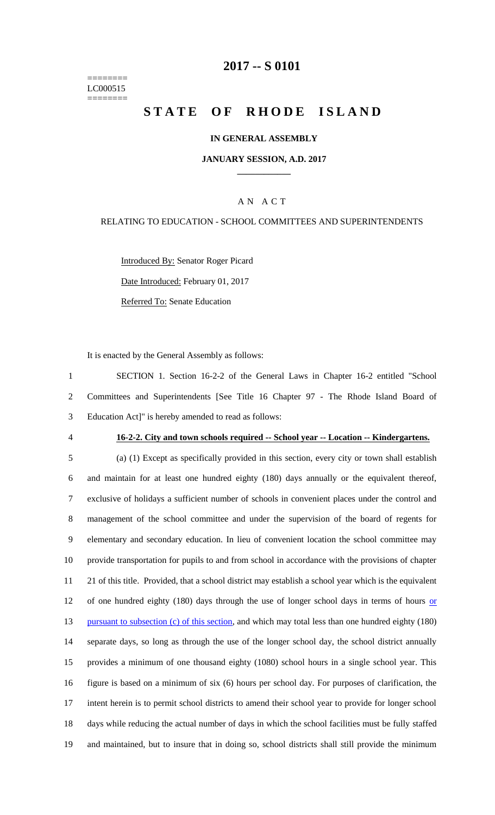======== LC000515 ========

## **2017 -- S 0101**

# **STATE OF RHODE ISLAND**

### **IN GENERAL ASSEMBLY**

#### **JANUARY SESSION, A.D. 2017 \_\_\_\_\_\_\_\_\_\_\_\_**

### A N A C T

#### RELATING TO EDUCATION - SCHOOL COMMITTEES AND SUPERINTENDENTS

Introduced By: Senator Roger Picard Date Introduced: February 01, 2017 Referred To: Senate Education

It is enacted by the General Assembly as follows:

1 SECTION 1. Section 16-2-2 of the General Laws in Chapter 16-2 entitled "School 2 Committees and Superintendents [See Title 16 Chapter 97 - The Rhode Island Board of 3 Education Act]" is hereby amended to read as follows:

#### 4 **16-2-2. City and town schools required -- School year -- Location -- Kindergartens.**

 (a) (1) Except as specifically provided in this section, every city or town shall establish and maintain for at least one hundred eighty (180) days annually or the equivalent thereof, exclusive of holidays a sufficient number of schools in convenient places under the control and management of the school committee and under the supervision of the board of regents for elementary and secondary education. In lieu of convenient location the school committee may provide transportation for pupils to and from school in accordance with the provisions of chapter 21 of this title. Provided, that a school district may establish a school year which is the equivalent 12 of one hundred eighty (180) days through the use of longer school days in terms of hours or 13 pursuant to subsection (c) of this section, and which may total less than one hundred eighty (180) separate days, so long as through the use of the longer school day, the school district annually provides a minimum of one thousand eighty (1080) school hours in a single school year. This figure is based on a minimum of six (6) hours per school day. For purposes of clarification, the intent herein is to permit school districts to amend their school year to provide for longer school days while reducing the actual number of days in which the school facilities must be fully staffed and maintained, but to insure that in doing so, school districts shall still provide the minimum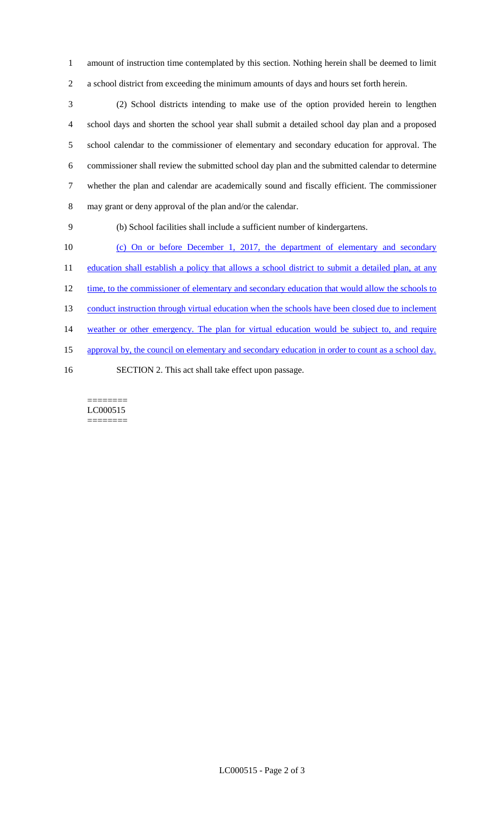1 amount of instruction time contemplated by this section. Nothing herein shall be deemed to limit 2 a school district from exceeding the minimum amounts of days and hours set forth herein.

 (2) School districts intending to make use of the option provided herein to lengthen school days and shorten the school year shall submit a detailed school day plan and a proposed school calendar to the commissioner of elementary and secondary education for approval. The commissioner shall review the submitted school day plan and the submitted calendar to determine whether the plan and calendar are academically sound and fiscally efficient. The commissioner may grant or deny approval of the plan and/or the calendar.

9 (b) School facilities shall include a sufficient number of kindergartens.

10 (c) On or before December 1, 2017, the department of elementary and secondary 11 education shall establish a policy that allows a school district to submit a detailed plan, at any 12 time, to the commissioner of elementary and secondary education that would allow the schools to 13 conduct instruction through virtual education when the schools have been closed due to inclement 14 weather or other emergency. The plan for virtual education would be subject to, and require 15 approval by, the council on elementary and secondary education in order to count as a school day. 16 SECTION 2. This act shall take effect upon passage.

======== LC000515 ========